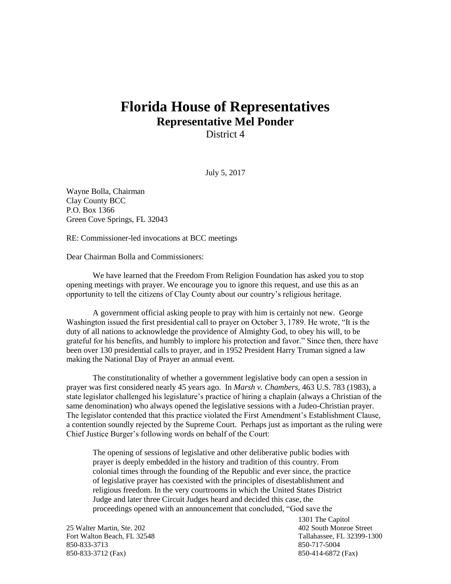## **Florida House of Representatives Representative Mel Ponder**

District 4

July 5, 2017

Wayne Bolla, Chairman Clay County BCC P.O. Box 1366 Green Cove Springs, FL 32043

RE: Commissioner-led invocations at BCC meetings

Dear Chairman Bolla and Commissioners:

We have learned that the Freedom From Religion Foundation has asked you to stop opening meetings with prayer. We encourage you to ignore this request, and use this as an opportunity to tell the citizens of Clay County about our country's religious heritage.

A government official asking people to pray with him is certainly not new. George Washington issued the first presidential call to prayer on October 3, 1789. He wrote, "It is the duty of all nations to acknowledge the providence of Almighty God, to obey his will, to be grateful for his benefits, and humbly to implore his protection and favor." Since then, there have been over 130 presidential calls to prayer, and in 1952 President Harry Truman signed a law making the National Day of Prayer an annual event.

The constitutionality of whether a government legislative body can open a session in prayer was first considered nearly 45 years ago. In *Marsh v. Chambers*, 463 U.S. 783 (1983), a state legislator challenged his legislature's practice of hiring a chaplain (always a Christian of the same denomination) who always opened the legislative sessions with a Judeo-Christian prayer. The legislator contended that this practice violated the First Amendment's Establishment Clause, a contention soundly rejected by the Supreme Court. Perhaps just as important as the ruling were Chief Justice Burger's following words on behalf of the Court:

The opening of sessions of legislative and other deliberative public bodies with prayer is deeply embedded in the history and tradition of this country. From colonial times through the founding of the Republic and ever since, the practice of legislative prayer has coexisted with the principles of disestablishment and religious freedom. In the very courtrooms in which the United States District Judge and later three Circuit Judges heard and decided this case, the proceedings opened with an announcement that concluded, "God save the

25 Walter Martin, Ste. 202 402 South Monroe Street Fort Walton Beach, FL 32548 Tallahassee, FL 32399-1300 850-833-3713 850-717-5004 850-833-3712 (Fax) 850-414-6872 (Fax)

1301 The Capitol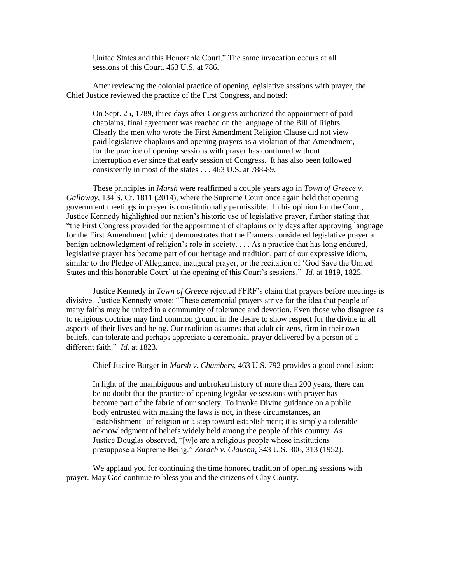United States and this Honorable Court." The same invocation occurs at all sessions of this Court. 463 U.S. at 786.

After reviewing the colonial practice of opening legislative sessions with prayer, the Chief Justice reviewed the practice of the First Congress, and noted:

On Sept. 25, 1789, three days after Congress authorized the appointment of paid chaplains, final agreement was reached on the language of the Bill of Rights . . . Clearly the men who wrote the First Amendment Religion Clause did not view paid legislative chaplains and opening prayers as a violation of that Amendment, for the practice of opening sessions with prayer has continued without interruption ever since that early session of Congress. It has also been followed consistently in most of the states . . . 463 U.S. at 788-89.

These principles in *Marsh* were reaffirmed a couple years ago in *Town of Greece v. Galloway*, 134 S. Ct. 1811 (2014), where the Supreme Court once again held that opening government meetings in prayer is constitutionally permissible. In his opinion for the Court, Justice Kennedy highlighted our nation's historic use of legislative prayer, further stating that "the First Congress provided for the appointment of chaplains only days after approving language for the First Amendment [which] demonstrates that the Framers considered legislative prayer a benign acknowledgment of religion's role in society. . . . As a practice that has long endured, legislative prayer has become part of our heritage and tradition, part of our expressive idiom, similar to the Pledge of Allegiance, inaugural prayer, or the recitation of 'God Save the United States and this honorable Court' at the opening of this Court's sessions." *Id.* at 1819, 1825.

Justice Kennedy in *Town of Greece* rejected FFRF's claim that prayers before meetings is divisive. Justice Kennedy wrote: "These ceremonial prayers strive for the idea that people of many faiths may be united in a community of tolerance and devotion. Even those who disagree as to religious doctrine may find common ground in the desire to show respect for the divine in all aspects of their lives and being. Our tradition assumes that adult citizens, firm in their own beliefs, can tolerate and perhaps appreciate a ceremonial prayer delivered by a person of a different faith." *Id*. at 1823.

Chief Justice Burger in *Marsh v. Chambers*, 463 U.S. 792 provides a good conclusion:

In light of the unambiguous and unbroken history of more than 200 years, there can be no doubt that the practice of opening legislative sessions with prayer has become part of the fabric of our society. To invoke Divine guidance on a public body entrusted with making the laws is not, in these circumstances, an "establishment" of religion or a step toward establishment; it is simply a tolerable acknowledgment of beliefs widely held among the people of this country. As Justice Douglas observed, "[w]e are a religious people whose institutions presuppose a Supreme Being." *Zorach v. Clauson,* 343 U.S. 306, 313 (1952).

We applaud you for continuing the time honored tradition of opening sessions with prayer. May God continue to bless you and the citizens of Clay County.